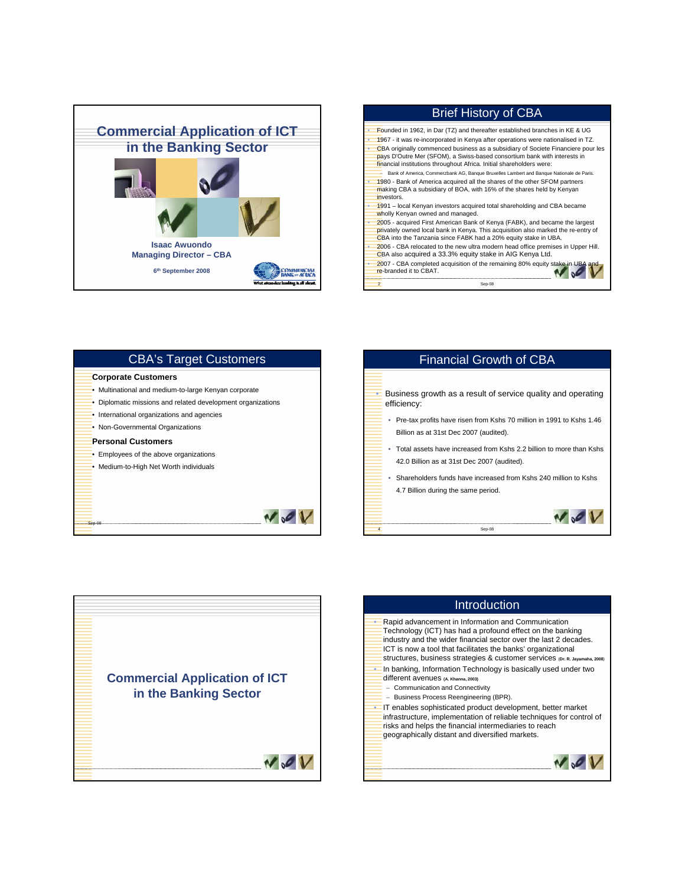



| <b>CBA's Target Customers</b>                             |
|-----------------------------------------------------------|
| <b>Corporate Customers</b>                                |
| Multinational and medium-to-large Kenyan corporate        |
| Diplomatic missions and related development organizations |
| International organizations and agencies                  |
| Non-Governmental Organizations                            |
| <b>Personal Customers</b>                                 |
| Employees of the above organizations                      |
| Medium-to-High Net Worth individuals                      |
|                                                           |
|                                                           |
|                                                           |
|                                                           |
|                                                           |





| Introduction                                                                                                                                                                                                                                                                                                                       |
|------------------------------------------------------------------------------------------------------------------------------------------------------------------------------------------------------------------------------------------------------------------------------------------------------------------------------------|
| Rapid advancement in Information and Communication<br>Technology (ICT) has had a profound effect on the banking<br>industry and the wider financial sector over the last 2 decades.<br>ICT is now a tool that facilitates the banks' organizational<br>Structures, business strategies & customer services (Dr. R. Jayamaha, 2008) |
| In banking, Information Technology is basically used under two<br>different avenues (A. Khanna, 2003)<br>- Communication and Connectivity<br>Business Process Reengineering (BPR).                                                                                                                                                 |
| • IT enables sophisticated product development, better market<br>infrastructure, implementation of reliable techniques for control of<br>risks and helps the financial intermediaries to reach<br>geographically distant and diversified markets.                                                                                  |
|                                                                                                                                                                                                                                                                                                                                    |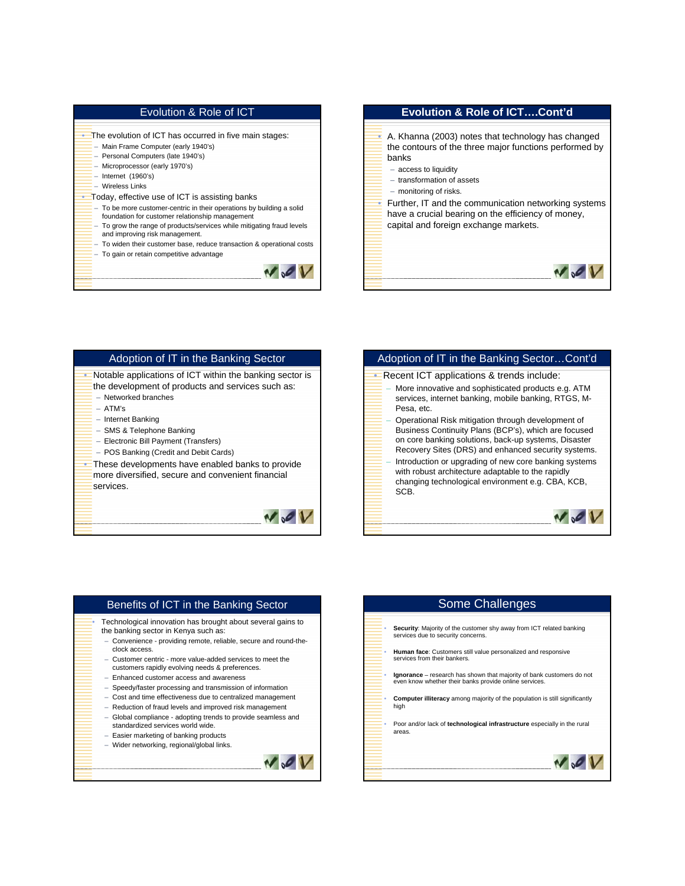## Evolution & Role of ICT

- The evolution of ICT has occurred in five main stages:
- Main Frame Computer (early 1940's) – Personal Computers (late 1940's)
- Microprocessor (early 1970's)
- Internet (1960's)
- Wireless Links
- Today, effective use of ICT is assisting banks
	- To be more customer-centric in their operations by building a solid foundation for customer relationship management
	- To grow the range of products/services while mitigating fraud levels and improving risk management.
	- To widen their customer base, reduce transaction & operational costs – To gain or retain competitive advantage





# Adoption of IT in the Banking Sector • Notable applications of ICT within the banking sector is

- the development of products and services such as: – Networked branches
	- ATM's
	- Internet Banking
	-
	- SMS & Telephone Banking – Electronic Bill Payment (Transfers)
	- POS Banking (Credit and Debit Cards)
	-
- These developments have enabled banks to provide more diversified, secure and convenient financial services.



## Adoption of IT in the Banking Sector…Cont'd **• Recent ICT applications & trends include:** – More innovative and sophisticated products e.g. ATM services, internet banking, mobile banking, RTGS, M-Pesa, etc. – Operational Risk mitigation through development of Business Continuity Plans (BCP's), which are focused on core banking solutions, back-up systems, Disaster Recovery Sites (DRS) and enhanced security systems. – Introduction or upgrading of new core banking systems with robust architecture adaptable to the rapidly changing technological environment e.g. CBA, KCB, SCB.  $\sim$

### • Technological innovation has brought about several gains to the banking sector in Kenya such as: – Convenience - providing remote, reliable, secure and round-theclock access. – Customer centric - more value-added services to meet the customers rapidly evolving needs & preferences. – Enhanced customer access and awareness – Speedy/faster processing and transmission of information – Cost and time effectiveness due to centralized management – Reduction of fraud levels and improved risk management – Global compliance - adopting trends to provide seamless and standardized services world wide. – Easier marketing of banking products

Benefits of ICT in the Banking Sector

# • **Security**: Majority of the customer shy away from ICT related banking services due to security concerns. • **Human face**: Customers still value personalized and responsive services from their bankers. • **Ignorance** – research has shown that majority of bank customers do not even know whether their banks provide online services. • **Computer illiteracy** among majority of the population is still significantly high

Some Challenges

• Poor and/or lack of **technological infrastructure** especially in the rural areas.

 $V<sub>o</sub>$ 



 $N<sub>o</sub>$